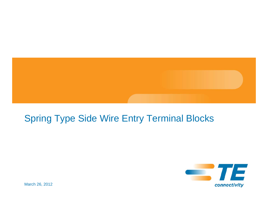

## Spring Type Side Wire Entry Terminal Blocks



March 26, 2012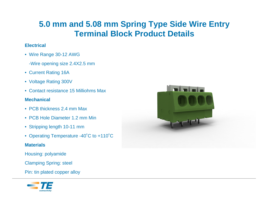### **5.0 mm and 5.08 mm Spring Type Side Wire Entry Terminal Block Product Details**

#### **Electrical**

- Wire Range 30-12 AWG
	- -Wire opening size 2.4X2.5 mm
- Current Rating 16A
- Voltage Rating 300V
- Contact resistance 15 Milliohms Max

#### **Mechanical**

- PCB thickness 2.4 mm Max
- PCB Hole Diameter 1.2 mm Min
- Stripping length 10-11 mm
- Operating Temperature -40˚C to +110˚C

#### **Materials**

Housing: polyamide

Clamping Spring: steel

Pin: tin plated copper alloy



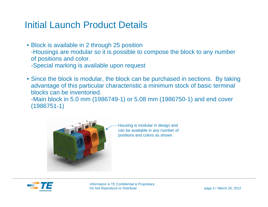### Initial Launch Product Details

• Block is available in 2 through 25 position -Housings are modular so it is possible to compose the block to any number of positions and color.

-Special marking is available upon request

• Since the block is modular, the block can be purchased in sections. By taking advantage of this particular characteristic a minimum stock of basic terminal blocks can be inventoried.

-Main block in 5.0 mm (1986749-1) or 5.08 mm (1986750-1) and end cover (1986751-1)



Housing is modular in design and can be available in any number of positions and colors as shown.

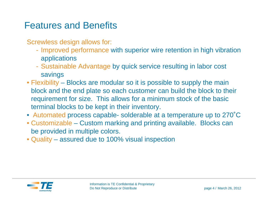### Features and Benefits

Screwless design allows for:

- Improved performance with superior wire retention in high vibration applications
- Sustainable Advantage by quick service resulting in labor cost savings
- Flexibility Blocks are modular so it is possible to supply the main block and the end plate so each customer can build the block to their requirement for size. This allows for a minimum stock of the basic terminal blocks to be kept in their inventory.
- Automated process capable- solderable at a temperature up to 270˚C
- Customizable Custom marking and printing available. Blocks can be provided in multiple colors.
- Quality assured due to 100% visual inspection

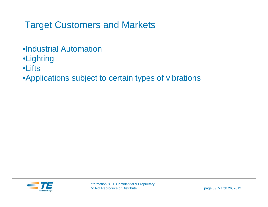# Target Customers and Markets

- •Industrial Automation
- •Lighting
- •Lifts
- •Applications subject to certain types of vibrations